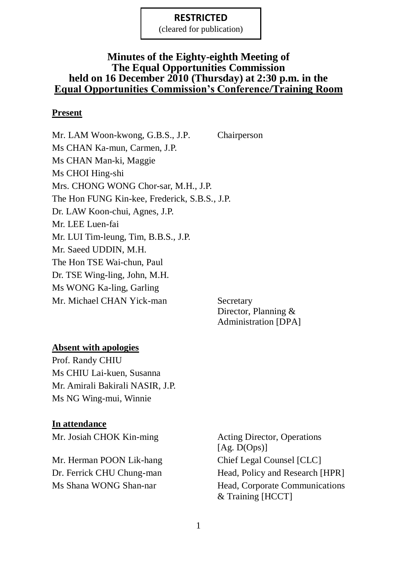(cleared for publication)

### **Minutes of the Eighty-eighth Meeting of The Equal Opportunities Commission held on 16 December 2010 (Thursday) at 2:30 p.m. in the Equal Opportunities Commission's Conference/Training Room**

### **Present**

Mr. LAM Woon-kwong, G.B.S., J.P. Chairperson Ms CHAN Ka-mun, Carmen, J.P. Ms CHAN Man-ki, Maggie Ms CHOI Hing-shi Mrs. CHONG WONG Chor-sar, M.H., J.P. The Hon FUNG Kin-kee, Frederick, S.B.S., J.P. Dr. LAW Koon-chui, Agnes, J.P. Mr. LEE Luen-fai Mr. LUI Tim-leung, Tim, B.B.S., J.P. Mr. Saeed UDDIN, M.H. The Hon TSE Wai-chun, Paul Dr. TSE Wing-ling, John, M.H. Ms WONG Ka-ling, Garling Mr. Michael CHAN Yick-man Secretary

Director, Planning & Administration [DPA]

### **Absent with apologies**

Prof. Randy CHIU Ms CHIU Lai-kuen, Susanna Mr. Amirali Bakirali NASIR, J.P. Ms NG Wing-mui, Winnie

#### **In attendance**

Mr. Josiah CHOK Kin-ming Acting Director, Operations

Mr. Herman POON Lik-hang Chief Legal Counsel [CLC]

[Ag. D(Ops)] Dr. Ferrick CHU Chung-man Head, Policy and Research [HPR] Ms Shana WONG Shan-nar Head, Corporate Communications & Training [HCCT]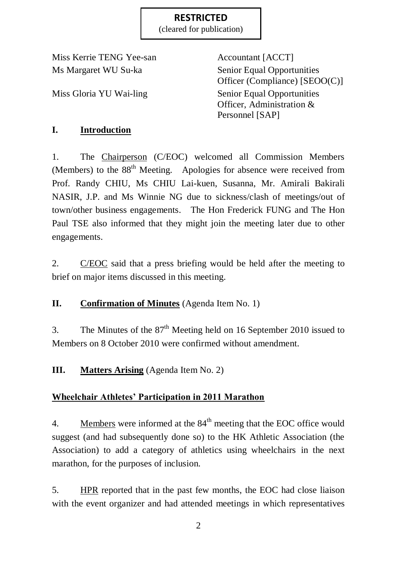(cleared for publication)

Miss Kerrie TENG Yee-san Accountant [ACCT] Ms Margaret WU Su-ka Senior Equal Opportunities

Officer (Compliance) [SEOO(C)] Miss Gloria YU Wai-ling Senior Equal Opportunities Officer, Administration & Personnel [SAP]

# **I. Introduction**

1. The Chairperson (C/EOC) welcomed all Commission Members (Members) to the 88<sup>th</sup> Meeting. Apologies for absence were received from Prof. Randy CHIU, Ms CHIU Lai-kuen, Susanna, Mr. Amirali Bakirali NASIR, J.P. and Ms Winnie NG due to sickness/clash of meetings/out of town/other business engagements. The Hon Frederick FUNG and The Hon Paul TSE also informed that they might join the meeting later due to other engagements.

2. C/EOC said that a press briefing would be held after the meeting to brief on major items discussed in this meeting.

**II. Confirmation of Minutes** (Agenda Item No. 1)

3. The Minutes of the  $87<sup>th</sup>$  Meeting held on 16 September 2010 issued to Members on 8 October 2010 were confirmed without amendment.

**III. Matters Arising** (Agenda Item No. 2)

# **Wheelchair Athletes' Participation in 2011 Marathon**

4. Members were informed at the  $84<sup>th</sup>$  meeting that the EOC office would suggest (and had subsequently done so) to the HK Athletic Association (the Association) to add a category of athletics using wheelchairs in the next marathon, for the purposes of inclusion.

5. HPR reported that in the past few months, the EOC had close liaison with the event organizer and had attended meetings in which representatives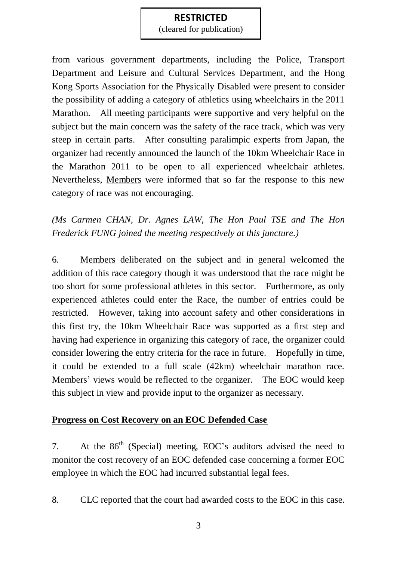(cleared for publication)

from various government departments, including the Police, Transport Department and Leisure and Cultural Services Department, and the Hong Kong Sports Association for the Physically Disabled were present to consider the possibility of adding a category of athletics using wheelchairs in the 2011 Marathon. All meeting participants were supportive and very helpful on the subject but the main concern was the safety of the race track, which was very steep in certain parts. After consulting paralimpic experts from Japan, the organizer had recently announced the launch of the 10km Wheelchair Race in the Marathon 2011 to be open to all experienced wheelchair athletes. Nevertheless, Members were informed that so far the response to this new category of race was not encouraging.

*(Ms Carmen CHAN, Dr. Agnes LAW, The Hon Paul TSE and The Hon Frederick FUNG joined the meeting respectively at this juncture.)*

6. Members deliberated on the subject and in general welcomed the addition of this race category though it was understood that the race might be too short for some professional athletes in this sector. Furthermore, as only experienced athletes could enter the Race, the number of entries could be restricted. However, taking into account safety and other considerations in this first try, the 10km Wheelchair Race was supported as a first step and having had experience in organizing this category of race, the organizer could consider lowering the entry criteria for the race in future. Hopefully in time, it could be extended to a full scale (42km) wheelchair marathon race. Members' views would be reflected to the organizer. The EOC would keep this subject in view and provide input to the organizer as necessary.

### **Progress on Cost Recovery on an EOC Defended Case**

7. At the  $86<sup>th</sup>$  (Special) meeting, EOC's auditors advised the need to monitor the cost recovery of an EOC defended case concerning a former EOC employee in which the EOC had incurred substantial legal fees.

8. CLC reported that the court had awarded costs to the EOC in this case.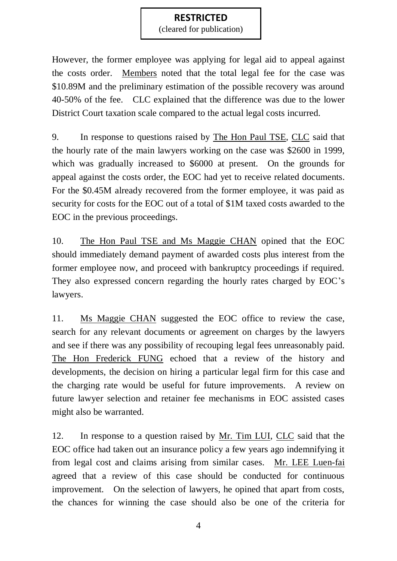(cleared for publication)

However, the former employee was applying for legal aid to appeal against the costs order. Members noted that the total legal fee for the case was \$10.89M and the preliminary estimation of the possible recovery was around 40-50% of the fee. CLC explained that the difference was due to the lower District Court taxation scale compared to the actual legal costs incurred.

9. In response to questions raised by The Hon Paul TSE, CLC said that the hourly rate of the main lawyers working on the case was \$2600 in 1999, which was gradually increased to \$6000 at present. On the grounds for appeal against the costs order, the EOC had yet to receive related documents. For the \$0.45M already recovered from the former employee, it was paid as security for costs for the EOC out of a total of \$1M taxed costs awarded to the EOC in the previous proceedings.

10. The Hon Paul TSE and Ms Maggie CHAN opined that the EOC should immediately demand payment of awarded costs plus interest from the former employee now, and proceed with bankruptcy proceedings if required. They also expressed concern regarding the hourly rates charged by EOC's lawyers.

11. Ms Maggie CHAN suggested the EOC office to review the case, search for any relevant documents or agreement on charges by the lawyers and see if there was any possibility of recouping legal fees unreasonably paid. The Hon Frederick FUNG echoed that a review of the history and developments, the decision on hiring a particular legal firm for this case and the charging rate would be useful for future improvements. A review on future lawyer selection and retainer fee mechanisms in EOC assisted cases might also be warranted.

12. In response to a question raised by Mr. Tim LUI, CLC said that the EOC office had taken out an insurance policy a few years ago indemnifying it from legal cost and claims arising from similar cases. Mr. LEE Luen-fai agreed that a review of this case should be conducted for continuous improvement. On the selection of lawyers, he opined that apart from costs, the chances for winning the case should also be one of the criteria for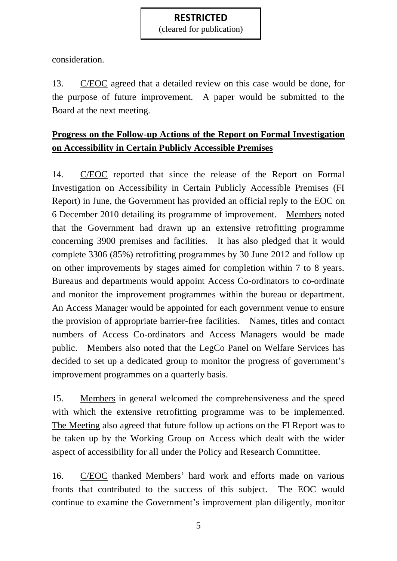(cleared for publication)

consideration.

13. C/EOC agreed that a detailed review on this case would be done, for the purpose of future improvement. A paper would be submitted to the Board at the next meeting.

# **Progress on the Follow-up Actions of the Report on Formal Investigation on Accessibility in Certain Publicly Accessible Premises**

14. C/EOC reported that since the release of the Report on Formal Investigation on Accessibility in Certain Publicly Accessible Premises (FI Report) in June, the Government has provided an official reply to the EOC on 6 December 2010 detailing its programme of improvement. Members noted that the Government had drawn up an extensive retrofitting programme concerning 3900 premises and facilities. It has also pledged that it would complete 3306 (85%) retrofitting programmes by 30 June 2012 and follow up on other improvements by stages aimed for completion within 7 to 8 years. Bureaus and departments would appoint Access Co-ordinators to co-ordinate and monitor the improvement programmes within the bureau or department. An Access Manager would be appointed for each government venue to ensure the provision of appropriate barrier-free facilities. Names, titles and contact numbers of Access Co-ordinators and Access Managers would be made public. Members also noted that the LegCo Panel on Welfare Services has decided to set up a dedicated group to monitor the progress of government's improvement programmes on a quarterly basis.

15. Members in general welcomed the comprehensiveness and the speed with which the extensive retrofitting programme was to be implemented. The Meeting also agreed that future follow up actions on the FI Report was to be taken up by the Working Group on Access which dealt with the wider aspect of accessibility for all under the Policy and Research Committee.

16. C/EOC thanked Members' hard work and efforts made on various fronts that contributed to the success of this subject. The EOC would continue to examine the Government's improvement plan diligently, monitor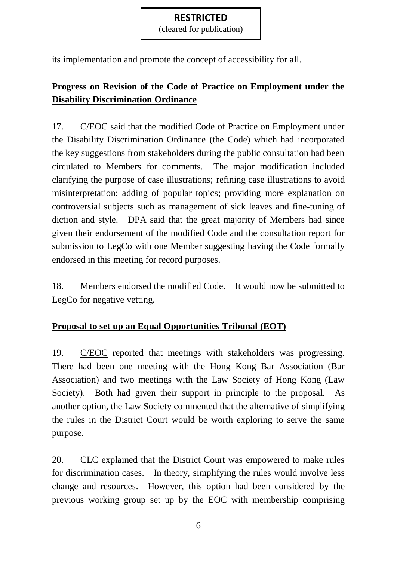(cleared for publication)

its implementation and promote the concept of accessibility for all.

# **Progress on Revision of the Code of Practice on Employment under the Disability Discrimination Ordinance**

17. C/EOC said that the modified Code of Practice on Employment under the Disability Discrimination Ordinance (the Code) which had incorporated the key suggestions from stakeholders during the public consultation had been circulated to Members for comments. The major modification included clarifying the purpose of case illustrations; refining case illustrations to avoid misinterpretation; adding of popular topics; providing more explanation on controversial subjects such as management of sick leaves and fine-tuning of diction and style. DPA said that the great majority of Members had since given their endorsement of the modified Code and the consultation report for submission to LegCo with one Member suggesting having the Code formally endorsed in this meeting for record purposes.

18. Members endorsed the modified Code. It would now be submitted to LegCo for negative vetting.

### **Proposal to set up an Equal Opportunities Tribunal (EOT)**

19. C/EOC reported that meetings with stakeholders was progressing. There had been one meeting with the Hong Kong Bar Association (Bar Association) and two meetings with the Law Society of Hong Kong (Law Society). Both had given their support in principle to the proposal. As another option, the Law Society commented that the alternative of simplifying the rules in the District Court would be worth exploring to serve the same purpose.

20. CLC explained that the District Court was empowered to make rules for discrimination cases. In theory, simplifying the rules would involve less change and resources. However, this option had been considered by the previous working group set up by the EOC with membership comprising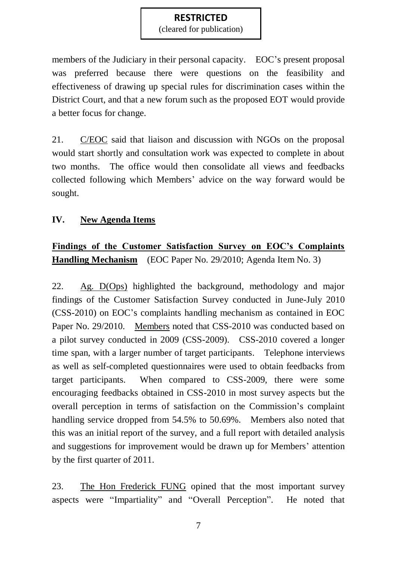(cleared for publication)

members of the Judiciary in their personal capacity. EOC's present proposal was preferred because there were questions on the feasibility and effectiveness of drawing up special rules for discrimination cases within the District Court, and that a new forum such as the proposed EOT would provide a better focus for change.

21. C/EOC said that liaison and discussion with NGOs on the proposal would start shortly and consultation work was expected to complete in about two months. The office would then consolidate all views and feedbacks collected following which Members' advice on the way forward would be sought.

# **IV. New Agenda Items**

# **Findings of the Customer Satisfaction Survey on EOC's Complaints Handling Mechanism** (EOC Paper No. 29/2010; Agenda Item No. 3)

22. Ag. D(Ops) highlighted the background, methodology and major findings of the Customer Satisfaction Survey conducted in June-July 2010 (CSS-2010) on EOC's complaints handling mechanism as contained in EOC Paper No. 29/2010. Members noted that CSS-2010 was conducted based on a pilot survey conducted in 2009 (CSS-2009). CSS-2010 covered a longer time span, with a larger number of target participants. Telephone interviews as well as self-completed questionnaires were used to obtain feedbacks from target participants. When compared to CSS-2009, there were some encouraging feedbacks obtained in CSS-2010 in most survey aspects but the overall perception in terms of satisfaction on the Commission's complaint handling service dropped from 54.5% to 50.69%. Members also noted that this was an initial report of the survey, and a full report with detailed analysis and suggestions for improvement would be drawn up for Members' attention by the first quarter of 2011.

23. The Hon Frederick FUNG opined that the most important survey aspects were "Impartiality" and "Overall Perception". He noted that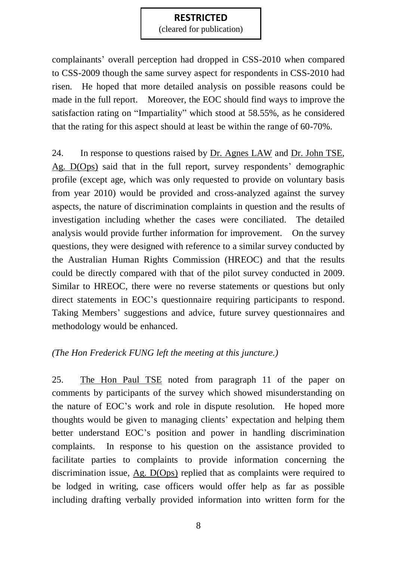(cleared for publication)

complainants' overall perception had dropped in CSS-2010 when compared to CSS-2009 though the same survey aspect for respondents in CSS-2010 had risen. He hoped that more detailed analysis on possible reasons could be made in the full report. Moreover, the EOC should find ways to improve the satisfaction rating on "Impartiality" which stood at 58.55%, as he considered that the rating for this aspect should at least be within the range of 60-70%.

24. In response to questions raised by Dr. Agnes LAW and Dr. John TSE, Ag. D(Ops) said that in the full report, survey respondents' demographic profile (except age, which was only requested to provide on voluntary basis from year 2010) would be provided and cross-analyzed against the survey aspects, the nature of discrimination complaints in question and the results of investigation including whether the cases were conciliated. The detailed analysis would provide further information for improvement. On the survey questions, they were designed with reference to a similar survey conducted by the Australian Human Rights Commission (HREOC) and that the results could be directly compared with that of the pilot survey conducted in 2009. Similar to HREOC, there were no reverse statements or questions but only direct statements in EOC's questionnaire requiring participants to respond. Taking Members' suggestions and advice, future survey questionnaires and methodology would be enhanced.

### *(The Hon Frederick FUNG left the meeting at this juncture.)*

25. The Hon Paul TSE noted from paragraph 11 of the paper on comments by participants of the survey which showed misunderstanding on the nature of EOC's work and role in dispute resolution. He hoped more thoughts would be given to managing clients' expectation and helping them better understand EOC's position and power in handling discrimination complaints. In response to his question on the assistance provided to facilitate parties to complaints to provide information concerning the discrimination issue, Ag. D(Ops) replied that as complaints were required to be lodged in writing, case officers would offer help as far as possible including drafting verbally provided information into written form for the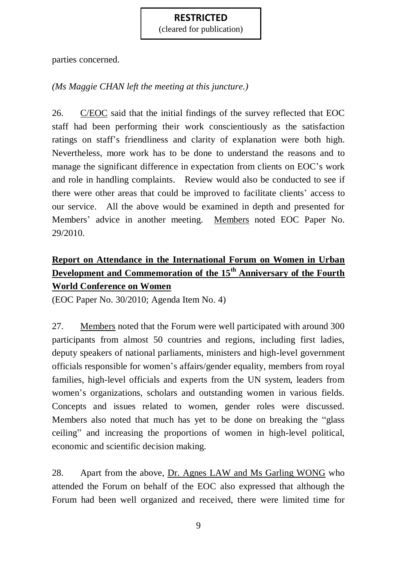(cleared for publication)

parties concerned.

# *(Ms Maggie CHAN left the meeting at this juncture.)*

26. C/EOC said that the initial findings of the survey reflected that EOC staff had been performing their work conscientiously as the satisfaction ratings on staff's friendliness and clarity of explanation were both high. Nevertheless, more work has to be done to understand the reasons and to manage the significant difference in expectation from clients on EOC's work and role in handling complaints. Review would also be conducted to see if there were other areas that could be improved to facilitate clients' access to our service. All the above would be examined in depth and presented for Members' advice in another meeting. Members noted EOC Paper No. 29/2010.

# **Report on Attendance in the International Forum on Women in Urban Development and Commemoration of the 15th Anniversary of the Fourth World Conference on Women**

(EOC Paper No. 30/2010; Agenda Item No. 4)

27. Members noted that the Forum were well participated with around 300 participants from almost 50 countries and regions, including first ladies, deputy speakers of national parliaments, ministers and high-level government officials responsible for women's affairs/gender equality, members from royal families, high-level officials and experts from the UN system, leaders from women's organizations, scholars and outstanding women in various fields. Concepts and issues related to women, gender roles were discussed. Members also noted that much has yet to be done on breaking the "glass ceiling" and increasing the proportions of women in high-level political, economic and scientific decision making.

28. Apart from the above, Dr. Agnes LAW and Ms Garling WONG who attended the Forum on behalf of the EOC also expressed that although the Forum had been well organized and received, there were limited time for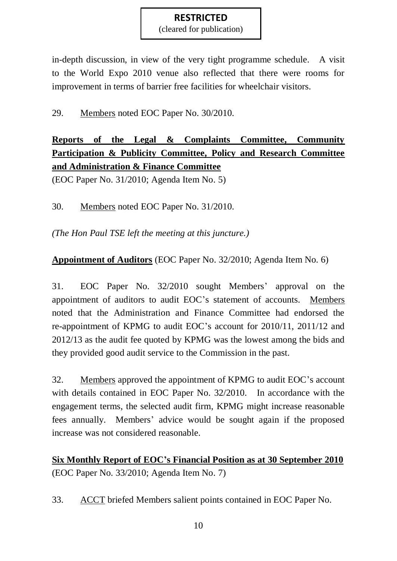(cleared for publication)

in-depth discussion, in view of the very tight programme schedule. A visit to the World Expo 2010 venue also reflected that there were rooms for improvement in terms of barrier free facilities for wheelchair visitors.

# 29. Members noted EOC Paper No. 30/2010.

# **Reports of the Legal & Complaints Committee, Community Participation & Publicity Committee, Policy and Research Committee and Administration & Finance Committee**

(EOC Paper No. 31/2010; Agenda Item No. 5)

30. Members noted EOC Paper No. 31/2010.

*(The Hon Paul TSE left the meeting at this juncture.)*

# **Appointment of Auditors** (EOC Paper No. 32/2010; Agenda Item No. 6)

31. EOC Paper No. 32/2010 sought Members' approval on the appointment of auditors to audit EOC's statement of accounts. Members noted that the Administration and Finance Committee had endorsed the re-appointment of KPMG to audit EOC's account for 2010/11, 2011/12 and 2012/13 as the audit fee quoted by KPMG was the lowest among the bids and they provided good audit service to the Commission in the past.

32. Members approved the appointment of KPMG to audit EOC's account with details contained in EOC Paper No. 32/2010. In accordance with the engagement terms, the selected audit firm, KPMG might increase reasonable fees annually. Members' advice would be sought again if the proposed increase was not considered reasonable.

**Six Monthly Report of EOC's Financial Position as at 30 September 2010** (EOC Paper No. 33/2010; Agenda Item No. 7)

33. ACCT briefed Members salient points contained in EOC Paper No.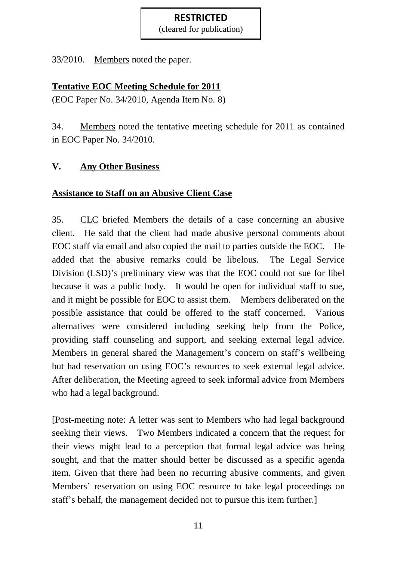(cleared for publication)

33/2010. Members noted the paper.

### **Tentative EOC Meeting Schedule for 2011**

(EOC Paper No. 34/2010, Agenda Item No. 8)

34. Members noted the tentative meeting schedule for 2011 as contained in EOC Paper No. 34/2010.

# **V. Any Other Business**

### **Assistance to Staff on an Abusive Client Case**

35. CLC briefed Members the details of a case concerning an abusive client. He said that the client had made abusive personal comments about EOC staff via email and also copied the mail to parties outside the EOC. He added that the abusive remarks could be libelous. The Legal Service Division (LSD)'s preliminary view was that the EOC could not sue for libel because it was a public body. It would be open for individual staff to sue, and it might be possible for EOC to assist them. Members deliberated on the possible assistance that could be offered to the staff concerned. Various alternatives were considered including seeking help from the Police, providing staff counseling and support, and seeking external legal advice. Members in general shared the Management's concern on staff's wellbeing but had reservation on using EOC's resources to seek external legal advice. After deliberation, the Meeting agreed to seek informal advice from Members who had a legal background.

[Post-meeting note: A letter was sent to Members who had legal background seeking their views. Two Members indicated a concern that the request for their views might lead to a perception that formal legal advice was being sought, and that the matter should better be discussed as a specific agenda item. Given that there had been no recurring abusive comments, and given Members' reservation on using EOC resource to take legal proceedings on staff's behalf, the management decided not to pursue this item further.]